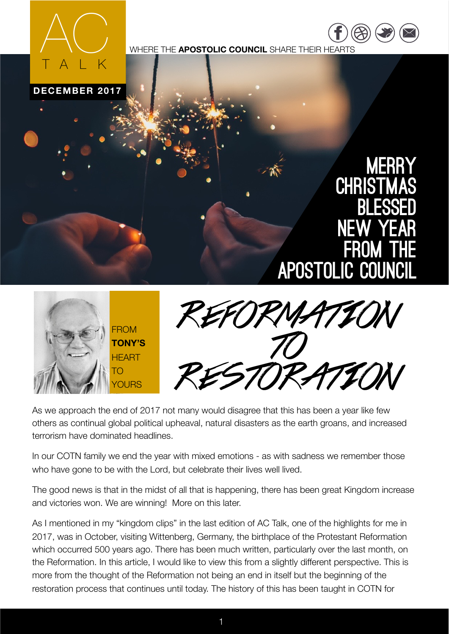

WHERE THE **APOSTOLIC COUNCIL** SHARE THEIR HEARTS





[https://](https://www.facebook.com/COTNATIONS) ww.fac

 $\overline{\phantom{a}}$ [twitter.com](https://twitter.com/COTNations) [/](https://twitter.com/COTNations)  $(\triangle \triangle)$  ( $\square$ ) ( $\square$ 



As we approach the end of 2017 not many would disagree that this has been a year like few others as continual global political upheaval, natural disasters as the earth groans, and increased terrorism have dominated headlines.

In our COTN family we end the year with mixed emotions - as with sadness we remember those who have gone to be with the Lord, but celebrate their lives well lived.

The good news is that in the midst of all that is happening, there has been great Kingdom increase and victories won. We are winning! More on this later.

As I mentioned in my "kingdom clips" in the last edition of AC Talk, one of the highlights for me in 2017, was in October, visiting Wittenberg, Germany, the birthplace of the Protestant Reformation which occurred 500 years ago. There has been much written, particularly over the last month, on the Reformation. In this article, I would like to view this from a slightly different perspective. This is more from the thought of the Reformation not being an end in itself but the beginning of the restoration process that continues until today. The history of this has been taught in COTN for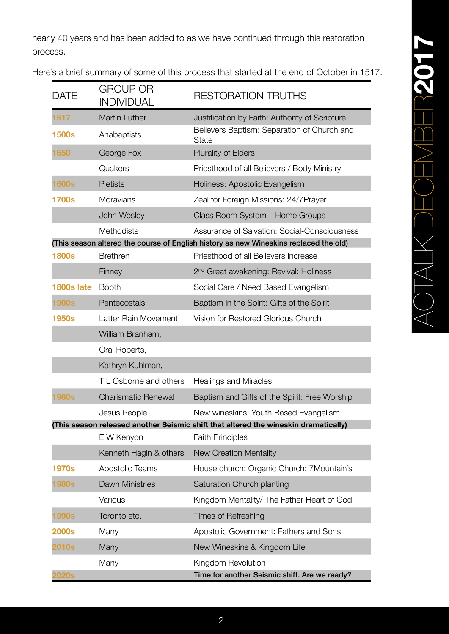nearly 40 years and has been added to as we have continued through this restoration process.

| DATE                                                                                  | <b>GROUP OR</b><br><b>INDIVIDUAL</b> | <b>RESTORATION TRUTHS</b>                                                           |
|---------------------------------------------------------------------------------------|--------------------------------------|-------------------------------------------------------------------------------------|
| 1517                                                                                  | <b>Martin Luther</b>                 | Justification by Faith: Authority of Scripture                                      |
| <b>1500s</b>                                                                          | Anabaptists                          | Believers Baptism: Separation of Church and<br><b>State</b>                         |
| 1650                                                                                  | George Fox                           | <b>Plurality of Elders</b>                                                          |
|                                                                                       | Quakers                              | Priesthood of all Believers / Body Ministry                                         |
| <b>1600s</b>                                                                          | <b>Pietists</b>                      | Holiness: Apostolic Evangelism                                                      |
| <b>1700s</b>                                                                          | <b>Moravians</b>                     | Zeal for Foreign Missions: 24/7Prayer                                               |
|                                                                                       | John Wesley                          | Class Room System - Home Groups                                                     |
|                                                                                       | Methodists                           | <b>Assurance of Salvation: Social-Consciousness</b>                                 |
| (This season altered the course of English history as new Wineskins replaced the old) |                                      |                                                                                     |
| <b>1800s</b>                                                                          | <b>Brethren</b>                      | Priesthood of all Believers increase                                                |
|                                                                                       | Finney                               | 2 <sup>nd</sup> Great awakening: Revival: Holiness                                  |
| 1800s late                                                                            | <b>Booth</b>                         | Social Care / Need Based Evangelism                                                 |
| 1900s                                                                                 | Pentecostals                         | Baptism in the Spirit: Gifts of the Spirit                                          |
| <b>1950s</b>                                                                          | Latter Rain Movement                 | Vision for Restored Glorious Church                                                 |
|                                                                                       | William Branham,                     |                                                                                     |
|                                                                                       | Oral Roberts,                        |                                                                                     |
|                                                                                       | Kathryn Kuhlman,                     |                                                                                     |
|                                                                                       | T L Osborne and others               | <b>Healings and Miracles</b>                                                        |
| 1960s                                                                                 | <b>Charismatic Renewal</b>           | Baptism and Gifts of the Spirit: Free Worship                                       |
|                                                                                       | Jesus People                         | New wineskins: Youth Based Evangelism                                               |
|                                                                                       |                                      | (This season released another Seismic shift that altered the wineskin dramatically) |
|                                                                                       | E W Kenyon                           | <b>Faith Principles</b>                                                             |
|                                                                                       | Kenneth Hagin & others               | <b>New Creation Mentality</b>                                                       |
| <b>1970s</b>                                                                          | Apostolic Teams                      | House church: Organic Church: 7Mountain's                                           |
| 1980s                                                                                 | <b>Dawn Ministries</b>               | Saturation Church planting                                                          |
|                                                                                       | Various                              | Kingdom Mentality/ The Father Heart of God                                          |
| 1990s                                                                                 | Toronto etc.                         | <b>Times of Refreshing</b>                                                          |
| <b>2000s</b>                                                                          | Many                                 | Apostolic Government: Fathers and Sons                                              |
| 2010s                                                                                 | Many                                 | New Wineskins & Kingdom Life                                                        |
|                                                                                       | Many                                 | Kingdom Revolution                                                                  |
| <b>2020s</b>                                                                          |                                      | Time for another Seismic shift. Are we ready?                                       |

Here's a brief summary of some of this process that started at the end of October in 1517.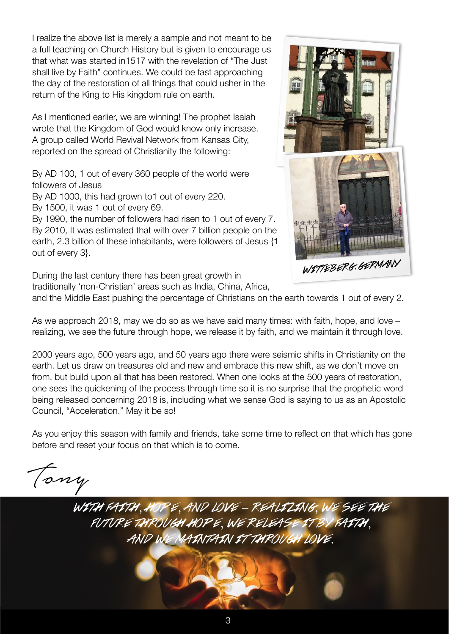I realize the above list is merely a sample and not meant to be a full teaching on Church History but is given to encourage us that what was started in1517 with the revelation of "The Just shall live by Faith" continues. We could be fast approaching the day of the restoration of all things that could usher in the return of the King to His kingdom rule on earth.

As I mentioned earlier, we are winning! The prophet Isaiah wrote that the Kingdom of God would know only increase. A group called World Revival Network from Kansas City, reported on the spread of Christianity the following:

By AD 100, 1 out of every 360 people of the world were followers of Jesus

By AD 1000, this had grown to1 out of every 220.

By 1500, it was 1 out of every 69.

By 1990, the number of followers had risen to 1 out of every 7. By 2010, It was estimated that with over 7 billion people on the earth, 2.3 billion of these inhabitants, were followers of Jesus {1 out of every 3}.

During the last century there has been great growth in

traditionally 'non-Christian' areas such as India, China, Africa,



and the Middle East pushing the percentage of Christians on the earth towards 1 out of every 2.

As we approach 2018, may we do so as we have said many times: with faith, hope, and love – realizing, we see the future through hope, we release it by faith, and we maintain it through love.

2000 years ago, 500 years ago, and 50 years ago there were seismic shifts in Christianity on the earth. Let us draw on treasures old and new and embrace this new shift, as we don't move on from, but build upon all that has been restored. When one looks at the 500 years of restoration, one sees the quickening of the process through time so it is no surprise that the prophetic word being released concerning 2018 is, including what we sense God is saying to us as an Apostolic Council, "Acceleration." May it be so!

As you enjoy this season with family and friends, take some time to reflect on that which has gone before and reset your focus on that which is to come.

Tony

with faith, hope, and love – realizing, we see the future through hope, we release it by faith, AND WE MAINTAIN IT TUROUGH LOVE.